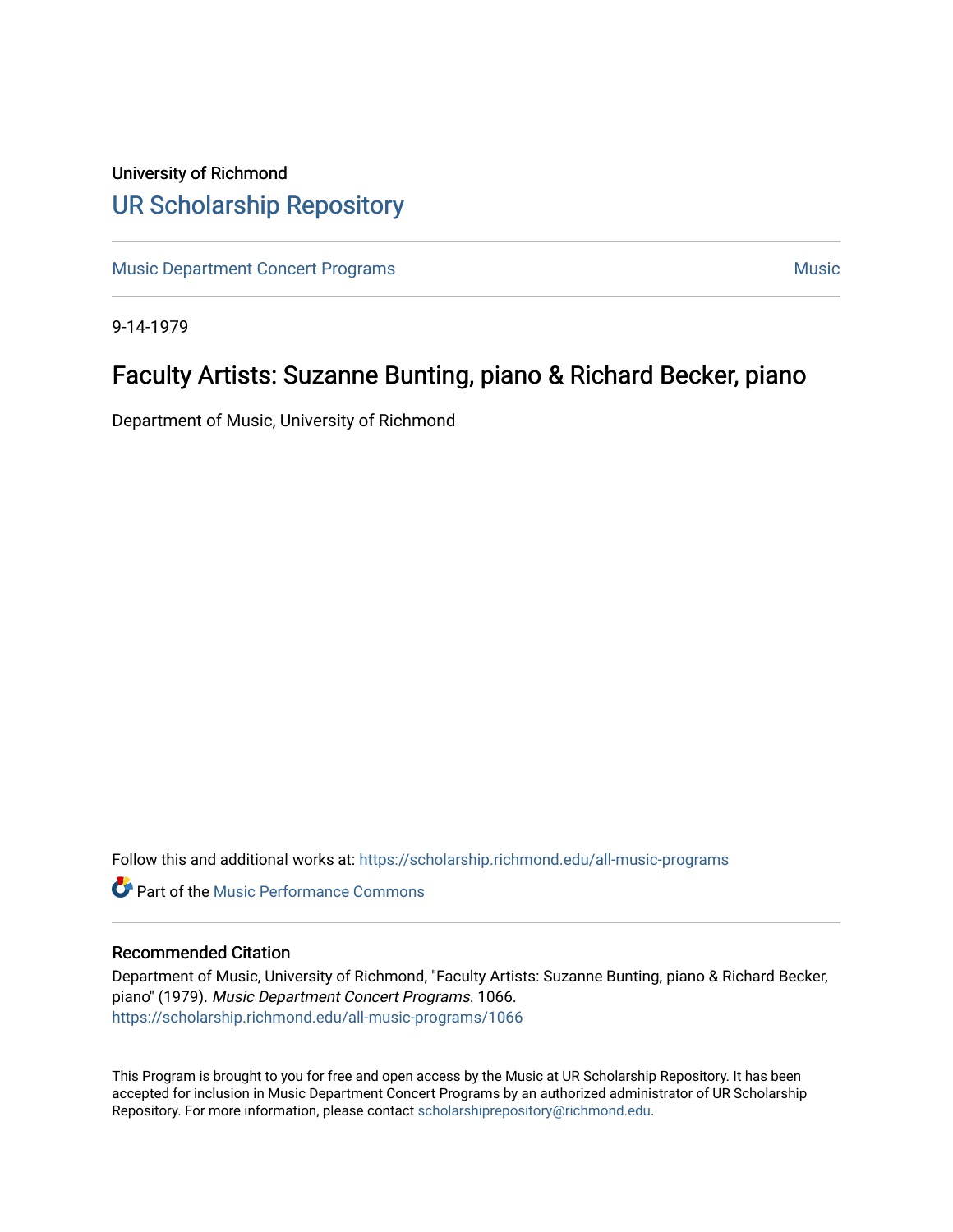## University of Richmond [UR Scholarship Repository](https://scholarship.richmond.edu/)

[Music Department Concert Programs](https://scholarship.richmond.edu/all-music-programs) [Music](https://scholarship.richmond.edu/music) Number of American American Music Number of American Music Number of American American American Music Number of American American American American American American American America

9-14-1979

## Faculty Artists: Suzanne Bunting, piano & Richard Becker, piano

Department of Music, University of Richmond

Follow this and additional works at: [https://scholarship.richmond.edu/all-music-programs](https://scholarship.richmond.edu/all-music-programs?utm_source=scholarship.richmond.edu%2Fall-music-programs%2F1066&utm_medium=PDF&utm_campaign=PDFCoverPages)

**C** Part of the [Music Performance Commons](https://network.bepress.com/hgg/discipline/1128?utm_source=scholarship.richmond.edu%2Fall-music-programs%2F1066&utm_medium=PDF&utm_campaign=PDFCoverPages)

## Recommended Citation

Department of Music, University of Richmond, "Faculty Artists: Suzanne Bunting, piano & Richard Becker, piano" (1979). Music Department Concert Programs. 1066. [https://scholarship.richmond.edu/all-music-programs/1066](https://scholarship.richmond.edu/all-music-programs/1066?utm_source=scholarship.richmond.edu%2Fall-music-programs%2F1066&utm_medium=PDF&utm_campaign=PDFCoverPages)

This Program is brought to you for free and open access by the Music at UR Scholarship Repository. It has been accepted for inclusion in Music Department Concert Programs by an authorized administrator of UR Scholarship Repository. For more information, please contact [scholarshiprepository@richmond.edu](mailto:scholarshiprepository@richmond.edu).